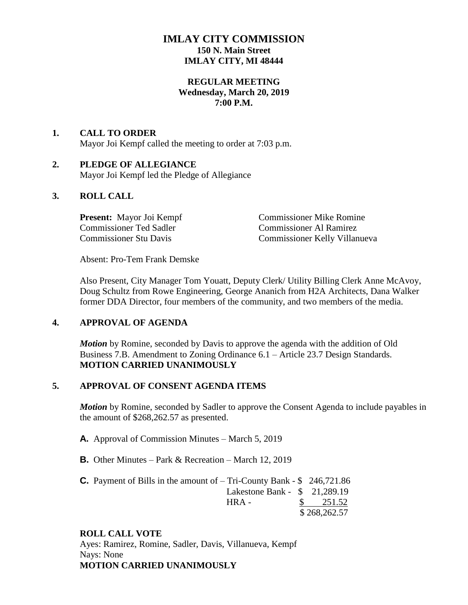# **IMLAY CITY COMMISSION 150 N. Main Street IMLAY CITY, MI 48444**

#### **REGULAR MEETING Wednesday, March 20, 2019 7:00 P.M.**

#### **1. CALL TO ORDER** Mayor Joi Kempf called the meeting to order at 7:03 p.m.

# **2. PLEDGE OF ALLEGIANCE**

Mayor Joi Kempf led the Pledge of Allegiance

## **3. ROLL CALL**

Commissioner Ted Sadler Commissioner Al Ramirez<br>
Commissioner Stu Davis<br>
Commissioner Kelly Villan

**Present:** Mayor Joi Kempf Commissioner Mike Romine Commissioner Kelly Villanueva

Absent: Pro-Tem Frank Demske

Also Present, City Manager Tom Youatt, Deputy Clerk/ Utility Billing Clerk Anne McAvoy, Doug Schultz from Rowe Engineering, George Ananich from H2A Architects, Dana Walker former DDA Director, four members of the community, and two members of the media.

## **4. APPROVAL OF AGENDA**

*Motion* by Romine, seconded by Davis to approve the agenda with the addition of Old Business 7.B. Amendment to Zoning Ordinance 6.1 – Article 23.7 Design Standards. **MOTION CARRIED UNANIMOUSLY**

## **5. APPROVAL OF CONSENT AGENDA ITEMS**

*Motion* by Romine, seconded by Sadler to approve the Consent Agenda to include payables in the amount of \$268,262.57 as presented.

- **A.** Approval of Commission Minutes March 5, 2019
- **B.** Other Minutes Park & Recreation March 12, 2019

| <b>C.</b> Payment of Bills in the amount of $-$ Tri-County Bank $-$ \$ 246,721.86 |               |
|-----------------------------------------------------------------------------------|---------------|
| Lakestone Bank - $$21,289.19$                                                     |               |
| HRA-                                                                              | $\$\,$ 251.52 |
|                                                                                   | \$268,262.57  |

## **ROLL CALL VOTE**

Ayes: Ramirez, Romine, Sadler, Davis, Villanueva, Kempf Nays: None **MOTION CARRIED UNANIMOUSLY**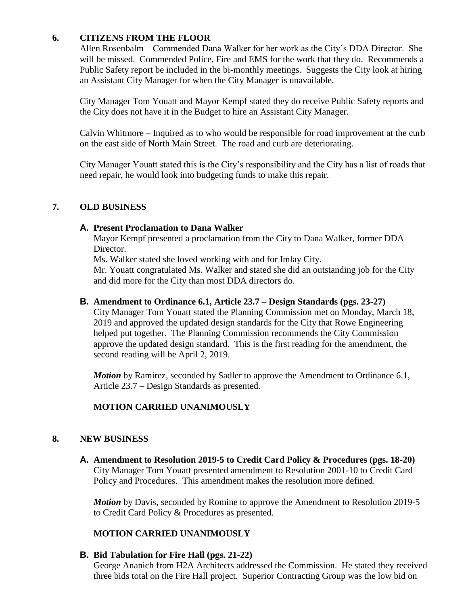## **6. CITIZENS FROM THE FLOOR**

Allen Rosenbalm – Commended Dana Walker for her work as the City's DDA Director. She will be missed. Commended Police, Fire and EMS for the work that they do. Recommends a Public Safety report be included in the bi-monthly meetings. Suggests the City look at hiring an Assistant City Manager for when the City Manager is unavailable.

City Manager Tom Youatt and Mayor Kempf stated they do receive Public Safety reports and the City does not have it in the Budget to hire an Assistant City Manager.

Calvin Whitmore – Inquired as to who would be responsible for road improvement at the curb on the east side of North Main Street. The road and curb are deteriorating.

City Manager Youatt stated this is the City's responsibility and the City has a list of roads that need repair, he would look into budgeting funds to make this repair.

## **7. OLD BUSINESS**

#### **A. Present Proclamation to Dana Walker**

Mayor Kempf presented a proclamation from the City to Dana Walker, former DDA Director.

Ms. Walker stated she loved working with and for Imlay City.

Mr. Youatt congratulated Ms. Walker and stated she did an outstanding job for the City and did more for the City than most DDA directors do.

#### **B. Amendment to Ordinance 6.1, Article 23.7 – Design Standards (pgs. 23-27)**

City Manager Tom Youatt stated the Planning Commission met on Monday, March 18, 2019 and approved the updated design standards for the City that Rowe Engineering helped put together. The Planning Commission recommends the City Commission approve the updated design standard. This is the first reading for the amendment, the second reading will be April 2, 2019.

*Motion* by Ramirez, seconded by Sadler to approve the Amendment to Ordinance 6.1, Article 23.7 – Design Standards as presented.

## **MOTION CARRIED UNANIMOUSLY**

## **8. NEW BUSINESS**

**A. Amendment to Resolution 2019-5 to Credit Card Policy & Procedures (pgs. 18-20)** City Manager Tom Youatt presented amendment to Resolution 2001-10 to Credit Card Policy and Procedures. This amendment makes the resolution more defined.

*Motion* by Davis, seconded by Romine to approve the Amendment to Resolution 2019-5 to Credit Card Policy & Procedures as presented.

## **MOTION CARRIED UNANIMOUSLY**

## **B. Bid Tabulation for Fire Hall (pgs. 21-22)**

George Ananich from H2A Architects addressed the Commission. He stated they received three bids total on the Fire Hall project. Superior Contracting Group was the low bid on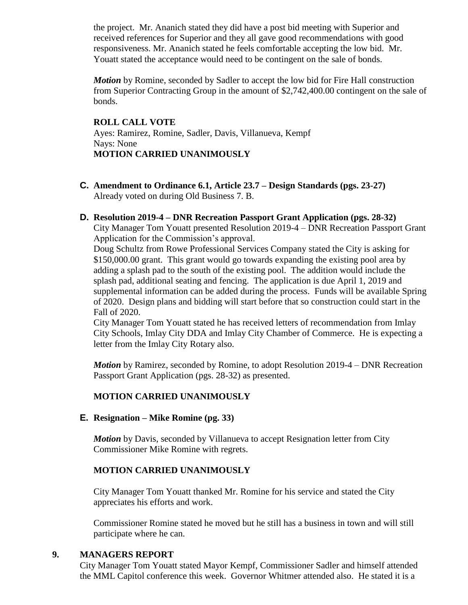the project. Mr. Ananich stated they did have a post bid meeting with Superior and received references for Superior and they all gave good recommendations with good responsiveness. Mr. Ananich stated he feels comfortable accepting the low bid. Mr. Youatt stated the acceptance would need to be contingent on the sale of bonds.

*Motion* by Romine, seconded by Sadler to accept the low bid for Fire Hall construction from Superior Contracting Group in the amount of \$2,742,400.00 contingent on the sale of bonds.

#### **ROLL CALL VOTE**

Ayes: Ramirez, Romine, Sadler, Davis, Villanueva, Kempf Nays: None **MOTION CARRIED UNANIMOUSLY**

- **C. Amendment to Ordinance 6.1, Article 23.7 – Design Standards (pgs. 23-27)** Already voted on during Old Business 7. B.
- **D. Resolution 2019-4 – DNR Recreation Passport Grant Application (pgs. 28-32)** City Manager Tom Youatt presented Resolution 2019-4 – DNR Recreation Passport Grant Application for the Commission's approval.

Doug Schultz from Rowe Professional Services Company stated the City is asking for \$150,000.00 grant. This grant would go towards expanding the existing pool area by adding a splash pad to the south of the existing pool. The addition would include the splash pad, additional seating and fencing. The application is due April 1, 2019 and supplemental information can be added during the process. Funds will be available Spring of 2020. Design plans and bidding will start before that so construction could start in the Fall of 2020.

City Manager Tom Youatt stated he has received letters of recommendation from Imlay City Schools, Imlay City DDA and Imlay City Chamber of Commerce. He is expecting a letter from the Imlay City Rotary also.

*Motion* by Ramirez, seconded by Romine, to adopt Resolution 2019-4 – DNR Recreation Passport Grant Application (pgs. 28-32) as presented.

## **MOTION CARRIED UNANIMOUSLY**

## **E. Resignation – Mike Romine (pg. 33)**

*Motion* by Davis, seconded by Villanueva to accept Resignation letter from City Commissioner Mike Romine with regrets.

## **MOTION CARRIED UNANIMOUSLY**

City Manager Tom Youatt thanked Mr. Romine for his service and stated the City appreciates his efforts and work.

Commissioner Romine stated he moved but he still has a business in town and will still participate where he can.

## **9. MANAGERS REPORT**

City Manager Tom Youatt stated Mayor Kempf, Commissioner Sadler and himself attended the MML Capitol conference this week. Governor Whitmer attended also. He stated it is a